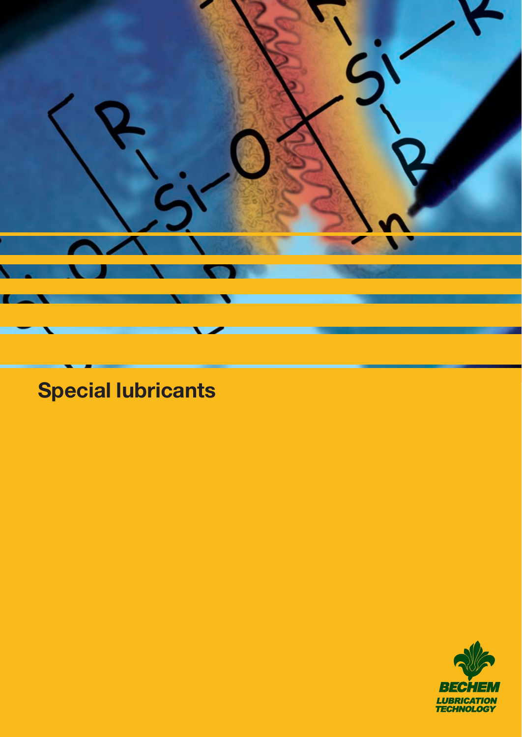

# **Special lubricants**

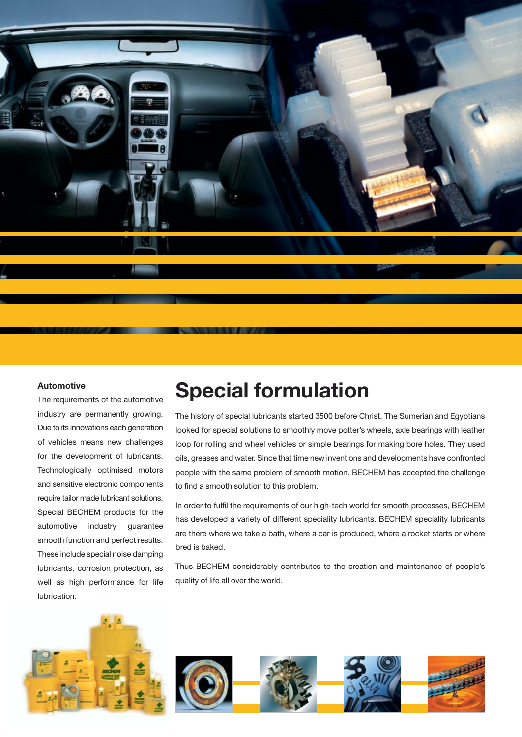

#### **Automotive**

The requirements of the automotive industry are permanently growing. Due to its innovations each generation of vehicles means new challenges for the development of lubricants. Technologically optimised motors and sensitive electronic components require tailor made lubricant solutions. Special BECHEM products for the automotive industry guarantee smooth function and perfect results. These include special noise damping lubricants, corrosion protection, as well as high performance for life lubrication.

# **Special formulation**

The history of special lubricants started 3500 before Christ. The Sumerian and Egyptians looked for special solutions to smoothly move potter's wheels, axle bearings with leather loop for rolling and wheel vehicles or simple bearings for making bore holes. They used oils, greases and water. Since that time new inventions and developments have confronted people with the same problem of smooth motion. BECHEM has accepted the challenge to find a smooth solution to this problem.

In order to fulfil the requirements of our high-tech world for smooth processes, BECHEM has developed a variety of different speciality lubricants. BECHEM speciality lubricants are there where we take a bath, where a car is produced, where a rocket starts or where bred is baked.

Thus BECHEM considerably contributes to the creation and maintenance of people's quality of life all over the world.

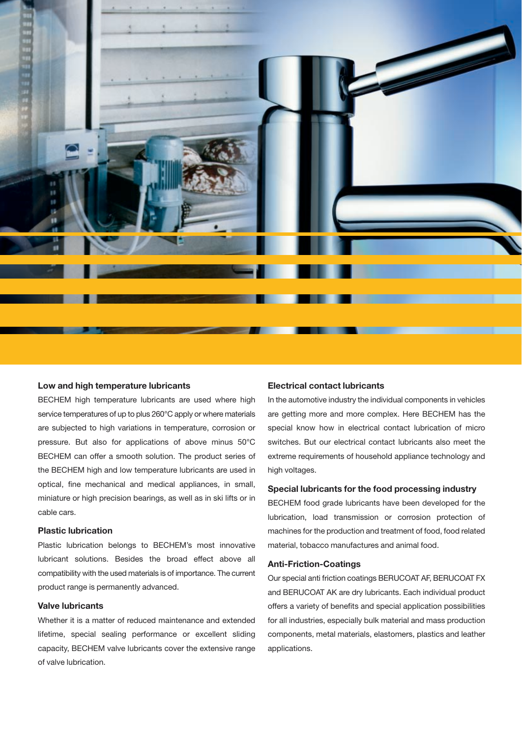

#### **Low and high temperature lubricants**

BECHEM high temperature lubricants are used where high service temperatures of up to plus 260°C apply or where materials are subjected to high variations in temperature, corrosion or pressure. But also for applications of above minus 50°C BECHEM can offer a smooth solution. The product series of the BECHEM high and low temperature lubricants are used in optical, fine mechanical and medical appliances, in small, miniature or high precision bearings, as well as in ski lifts or in cable cars.

#### **Plastic lubrication**

Plastic lubrication belongs to BECHEM's most innovative lubricant solutions. Besides the broad effect above all compatibility with the used materials is of importance. The current product range is permanently advanced.

#### **Valve lubricants**

Whether it is a matter of reduced maintenance and extended lifetime, special sealing performance or excellent sliding capacity, BECHEM valve lubricants cover the extensive range of valve lubrication.

#### **Electrical contact lubricants**

In the automotive industry the individual components in vehicles are getting more and more complex. Here BECHEM has the special know how in electrical contact lubrication of micro switches. But our electrical contact lubricants also meet the extreme requirements of household appliance technology and high voltages.

#### **Special lubricants for the food processing industry**

BECHEM food grade lubricants have been developed for the lubrication, load transmission or corrosion protection of machines for the production and treatment of food, food related material, tobacco manufactures and animal food.

#### **Anti-Friction-Coatings**

Our special anti friction coatings BERUCOAT AF, BERUCOAT FX and BERUCOAT AK are dry lubricants. Each individual product offers a variety of benefits and special application possibilities for all industries, especially bulk material and mass production components, metal materials, elastomers, plastics and leather applications.